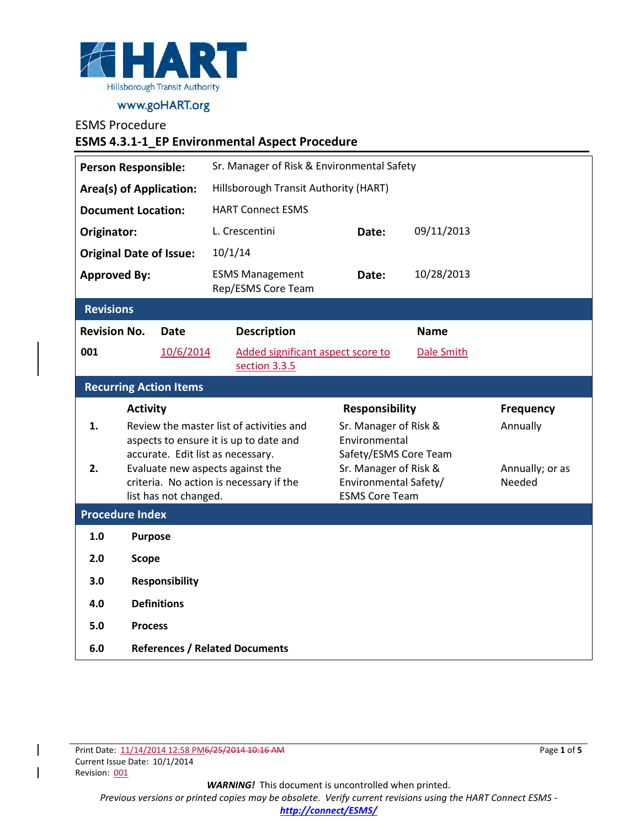

#### ESMS Procedure

| <b>ESMS 4.3.1-1_EP Environmental Aspect Procedure</b> |                                                                                    |                                              |                                                                             |                                        |                                                |             |                           |  |
|-------------------------------------------------------|------------------------------------------------------------------------------------|----------------------------------------------|-----------------------------------------------------------------------------|----------------------------------------|------------------------------------------------|-------------|---------------------------|--|
| <b>Person Responsible:</b>                            |                                                                                    | Sr. Manager of Risk & Environmental Safety   |                                                                             |                                        |                                                |             |                           |  |
| <b>Area(s) of Application:</b>                        |                                                                                    | Hillsborough Transit Authority (HART)        |                                                                             |                                        |                                                |             |                           |  |
| <b>Document Location:</b>                             |                                                                                    |                                              | <b>HART Connect ESMS</b>                                                    |                                        |                                                |             |                           |  |
| Originator:                                           |                                                                                    |                                              | L. Crescentini                                                              |                                        | Date:                                          | 09/11/2013  |                           |  |
| <b>Original Date of Issue:</b>                        |                                                                                    |                                              | 10/1/14                                                                     |                                        |                                                |             |                           |  |
| <b>Approved By:</b>                                   |                                                                                    | <b>ESMS Management</b><br>Rep/ESMS Core Team |                                                                             | Date:                                  | 10/28/2013                                     |             |                           |  |
| <b>Revisions</b>                                      |                                                                                    |                                              |                                                                             |                                        |                                                |             |                           |  |
| <b>Revision No.</b>                                   |                                                                                    | <b>Date</b>                                  | <b>Description</b>                                                          |                                        |                                                | <b>Name</b> |                           |  |
| 001                                                   |                                                                                    | 10/6/2014                                    | section 3.3.5                                                               |                                        | Added significant aspect score to              | Dale Smith  |                           |  |
| <b>Recurring Action Items</b>                         |                                                                                    |                                              |                                                                             |                                        |                                                |             |                           |  |
|                                                       |                                                                                    | <b>Activity</b>                              |                                                                             |                                        | <b>Responsibility</b>                          |             | <b>Frequency</b>          |  |
| 1.                                                    | Review the master list of activities and<br>aspects to ensure it is up to date and |                                              |                                                                             | Sr. Manager of Risk &<br>Environmental |                                                |             | Annually                  |  |
|                                                       |                                                                                    |                                              | accurate. Edit list as necessary.                                           |                                        | Safety/ESMS Core Team                          |             |                           |  |
| 2.                                                    |                                                                                    |                                              | Evaluate new aspects against the<br>criteria. No action is necessary if the |                                        | Sr. Manager of Risk &<br>Environmental Safety/ |             | Annually; or as<br>Needed |  |
|                                                       |                                                                                    | list has not changed.                        |                                                                             |                                        | <b>ESMS Core Team</b>                          |             |                           |  |
| <b>Procedure Index</b>                                |                                                                                    |                                              |                                                                             |                                        |                                                |             |                           |  |
| 1.0                                                   | <b>Purpose</b>                                                                     |                                              |                                                                             |                                        |                                                |             |                           |  |
| 2.0                                                   |                                                                                    | <b>Scope</b>                                 |                                                                             |                                        |                                                |             |                           |  |
| 3.0                                                   |                                                                                    | <b>Responsibility</b>                        |                                                                             |                                        |                                                |             |                           |  |
| 4.0                                                   |                                                                                    | <b>Definitions</b>                           |                                                                             |                                        |                                                |             |                           |  |
| 5.0                                                   | <b>Process</b>                                                                     |                                              |                                                                             |                                        |                                                |             |                           |  |
|                                                       |                                                                                    |                                              |                                                                             |                                        |                                                |             |                           |  |

Page **1** of **5**

*WARNING!*This document is uncontrolled when printed.

*Previous versions or printed copies may be obsolete. Verify current revisions using the HART Connect ESMS -* 

*<http://connect/ESMS/>*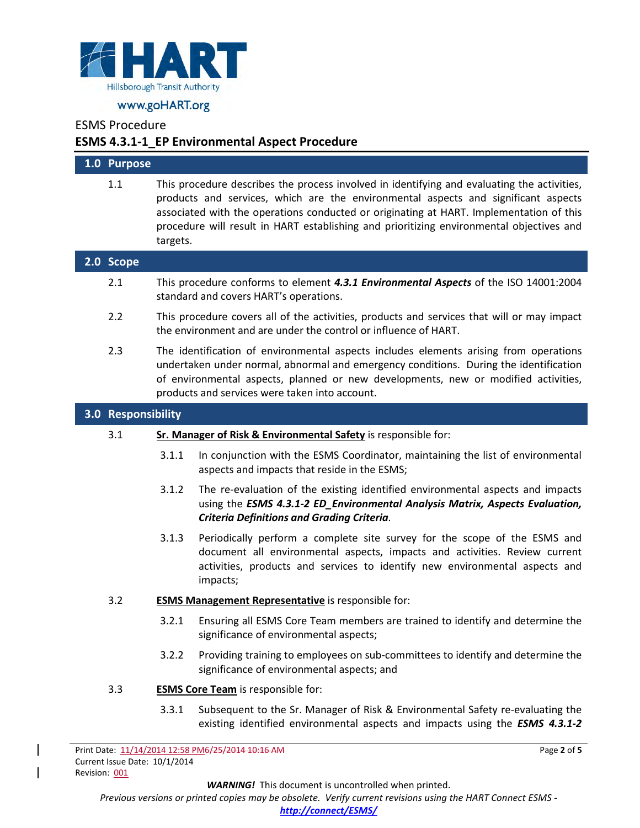

## ESMS Procedure

# **ESMS 4.3.1-1\_EP Environmental Aspect Procedure**

| 1.0 Purpose        |                                                                                                                                                                                                                                                                                                                        |                                                                                                                                                                                                                                                                                                                                                                          |  |  |
|--------------------|------------------------------------------------------------------------------------------------------------------------------------------------------------------------------------------------------------------------------------------------------------------------------------------------------------------------|--------------------------------------------------------------------------------------------------------------------------------------------------------------------------------------------------------------------------------------------------------------------------------------------------------------------------------------------------------------------------|--|--|
| 1.1                | targets.                                                                                                                                                                                                                                                                                                               | This procedure describes the process involved in identifying and evaluating the activities,<br>products and services, which are the environmental aspects and significant aspects<br>associated with the operations conducted or originating at HART. Implementation of this<br>procedure will result in HART establishing and prioritizing environmental objectives and |  |  |
| 2.0 Scope          |                                                                                                                                                                                                                                                                                                                        |                                                                                                                                                                                                                                                                                                                                                                          |  |  |
| 2.1                |                                                                                                                                                                                                                                                                                                                        | This procedure conforms to element 4.3.1 Environmental Aspects of the ISO 14001:2004<br>standard and covers HART's operations.                                                                                                                                                                                                                                           |  |  |
| 2.2                |                                                                                                                                                                                                                                                                                                                        | This procedure covers all of the activities, products and services that will or may impact<br>the environment and are under the control or influence of HART.                                                                                                                                                                                                            |  |  |
| 2.3                | The identification of environmental aspects includes elements arising from operations<br>undertaken under normal, abnormal and emergency conditions. During the identification<br>of environmental aspects, planned or new developments, new or modified activities,<br>products and services were taken into account. |                                                                                                                                                                                                                                                                                                                                                                          |  |  |
| 3.0 Responsibility |                                                                                                                                                                                                                                                                                                                        |                                                                                                                                                                                                                                                                                                                                                                          |  |  |
| 3.1                |                                                                                                                                                                                                                                                                                                                        | Sr. Manager of Risk & Environmental Safety is responsible for:                                                                                                                                                                                                                                                                                                           |  |  |
|                    | 3.1.1                                                                                                                                                                                                                                                                                                                  | In conjunction with the ESMS Coordinator, maintaining the list of environmental<br>aspects and impacts that reside in the ESMS;                                                                                                                                                                                                                                          |  |  |
|                    | 3.1.2                                                                                                                                                                                                                                                                                                                  | The re-evaluation of the existing identified environmental aspects and impacts<br>using the ESMS 4.3.1-2 ED_Environmental Analysis Matrix, Aspects Evaluation,<br><b>Criteria Definitions and Grading Criteria.</b>                                                                                                                                                      |  |  |
|                    | 3.1.3                                                                                                                                                                                                                                                                                                                  | Periodically perform a complete site survey for the scope of the ESMS and<br>document all environmental aspects, impacts and activities. Review current<br>activities, products and services to identify new environmental aspects and<br>impacts;                                                                                                                       |  |  |
| 3.2                |                                                                                                                                                                                                                                                                                                                        | <b>ESMS Management Representative</b> is responsible for:                                                                                                                                                                                                                                                                                                                |  |  |
|                    |                                                                                                                                                                                                                                                                                                                        | 3.2.1 Ensuring all ESMS Core Team members are trained to identify and determine the<br>significance of environmental aspects;                                                                                                                                                                                                                                            |  |  |
|                    | 3.2.2                                                                                                                                                                                                                                                                                                                  | Providing training to employees on sub-committees to identify and determine the<br>significance of environmental aspects; and                                                                                                                                                                                                                                            |  |  |
| 3.3                |                                                                                                                                                                                                                                                                                                                        | <b>ESMS Core Team is responsible for:</b>                                                                                                                                                                                                                                                                                                                                |  |  |
|                    | 3.3.1                                                                                                                                                                                                                                                                                                                  | Subsequent to the Sr. Manager of Risk & Environmental Safety re-evaluating the<br>existing identified environmental aspects and impacts using the ESMS 4.3.1-2                                                                                                                                                                                                           |  |  |

*WARNING!*This document is uncontrolled when printed.

Page **2** of **5**

*Previous versions or printed copies may be obsolete. Verify current revisions using the HART Connect ESMS -*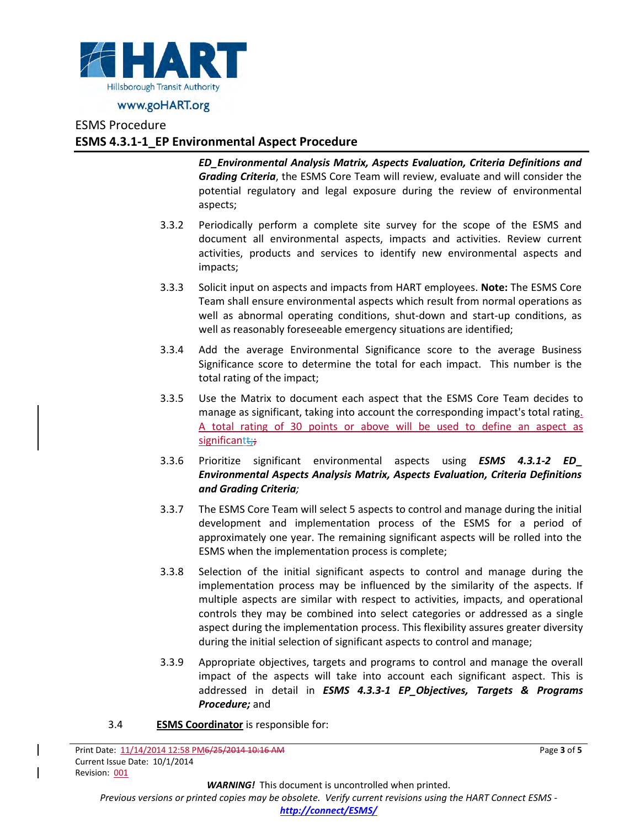

### ESMS Procedure

# **ESMS 4.3.1-1\_EP Environmental Aspect Procedure**

*ED\_Environmental Analysis Matrix, Aspects Evaluation, Criteria Definitions and Grading Criteria*, the ESMS Core Team will review, evaluate and will consider the potential regulatory and legal exposure during the review of environmental aspects;

- 3.3.2 Periodically perform a complete site survey for the scope of the ESMS and document all environmental aspects, impacts and activities. Review current activities, products and services to identify new environmental aspects and impacts;
- 3.3.3 Solicit input on aspects and impacts from HART employees. **Note:** The ESMS Core Team shall ensure environmental aspects which result from normal operations as well as abnormal operating conditions, shut-down and start-up conditions, as well as reasonably foreseeable emergency situations are identified;
- 3.3.4 Add the average Environmental Significance score to the average Business Significance score to determine the total for each impact. This number is the total rating of the impact;
- 3.3.5 Use the Matrix to document each aspect that the ESMS Core Team decides to manage as significant, taking into account the corresponding impact's total rating. A total rating of 30 points or above will be used to define an aspect as significant ::
- 3.3.6 Prioritize significant environmental aspects using *ESMS 4.3.1-2 ED***\_** *Environmental Aspects Analysis Matrix, Aspects Evaluation, Criteria Definitions and Grading Criteria;*
- 3.3.7 The ESMS Core Team will select 5 aspects to control and manage during the initial development and implementation process of the ESMS for a period of approximately one year. The remaining significant aspects will be rolled into the ESMS when the implementation process is complete;
- 3.3.8 Selection of the initial significant aspects to control and manage during the implementation process may be influenced by the similarity of the aspects. If multiple aspects are similar with respect to activities, impacts, and operational controls they may be combined into select categories or addressed as a single aspect during the implementation process. This flexibility assures greater diversity during the initial selection of significant aspects to control and manage;
- 3.3.9 Appropriate objectives, targets and programs to control and manage the overall impact of the aspects will take into account each significant aspect. This is addressed in detail in *ESMS 4.3.3-1 EP\_Objectives, Targets & Programs Procedure;* and
- 3.4 **ESMS Coordinator** is responsible for:

*WARNING!*This document is uncontrolled when printed.

*Previous versions or printed copies may be obsolete. Verify current revisions using the HART Connect ESMS -*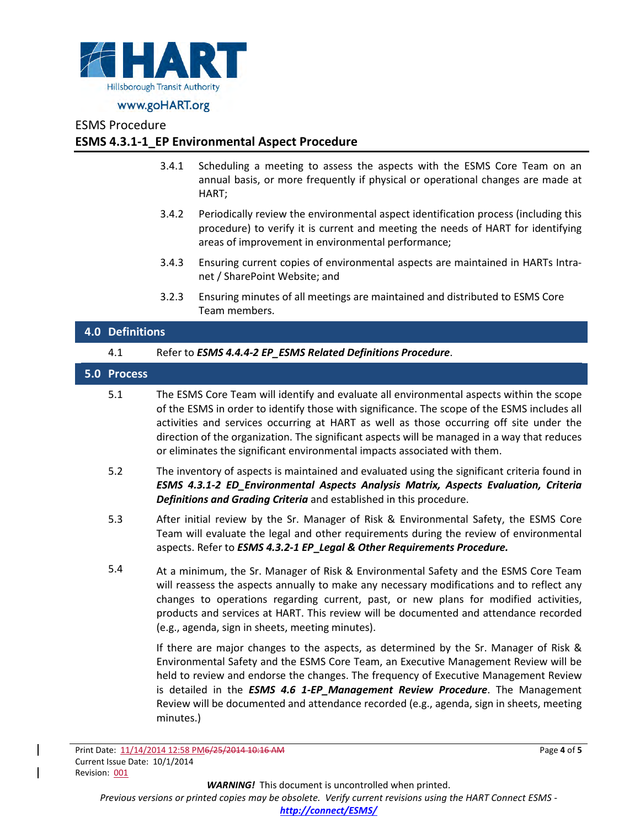

#### ESMS Procedure

## **ESMS 4.3.1-1\_EP Environmental Aspect Procedure**

- 3.4.1 Scheduling a meeting to assess the aspects with the ESMS Core Team on an annual basis, or more frequently if physical or operational changes are made at HART;
- 3.4.2 Periodically review the environmental aspect identification process (including this procedure) to verify it is current and meeting the needs of HART for identifying areas of improvement in environmental performance;
- 3.4.3 Ensuring current copies of environmental aspects are maintained in HARTs Intranet / SharePoint Website; and
- 3.2.3 Ensuring minutes of all meetings are maintained and distributed to ESMS Core Team members.

# **4.0 Definitions** 4.1 Refer to *ESMS 4.4.4-2 EP\_ESMS Related Definitions Procedure*. **5.0 Process**

- 5.1 The ESMS Core Team will identify and evaluate all environmental aspects within the scope of the ESMS in order to identify those with significance. The scope of the ESMS includes all activities and services occurring at HART as well as those occurring off site under the direction of the organization. The significant aspects will be managed in a way that reduces or eliminates the significant environmental impacts associated with them.
- 5.2 The inventory of aspects is maintained and evaluated using the significant criteria found in *ESMS 4.3.1-2 ED\_Environmental Aspects Analysis Matrix, Aspects Evaluation, Criteria Definitions and Grading Criteria* and established in this procedure.
- 5.3 After initial review by the Sr. Manager of Risk & Environmental Safety, the ESMS Core Team will evaluate the legal and other requirements during the review of environmental aspects. Refer to *ESMS 4.3.2-1 EP***\_***Legal & Other Requirements Procedure.*
- 5.4 At a minimum, the Sr. Manager of Risk & Environmental Safety and the ESMS Core Team will reassess the aspects annually to make any necessary modifications and to reflect any changes to operations regarding current, past, or new plans for modified activities, products and services at HART. This review will be documented and attendance recorded (e.g., agenda, sign in sheets, meeting minutes).

<span id="page-3-0"></span>If there are major changes to the aspects, as determined by the Sr. Manager of Risk & Environmental Safety and the ESMS Core Team, an Executive Management Review will be held to review and endorse the changes. The frequency of Executive Management Review is detailed in the *ESMS 4.6 1-EP\_Management Review Procedure*. The Management Review will be documented and attendance recorded (e.g., agenda, sign in sheets, meeting minutes.)

Print Date: 11/14/2014 12:58 PM6/25/2014 10:16 AM Current Issue Date: 10/1/2014 Revision: 001

Page **4** of **5**

*WARNING!*This document is uncontrolled when printed.

*Previous versions or printed copies may be obsolete. Verify current revisions using the HART Connect ESMS -* 

*<http://connect/ESMS/>*